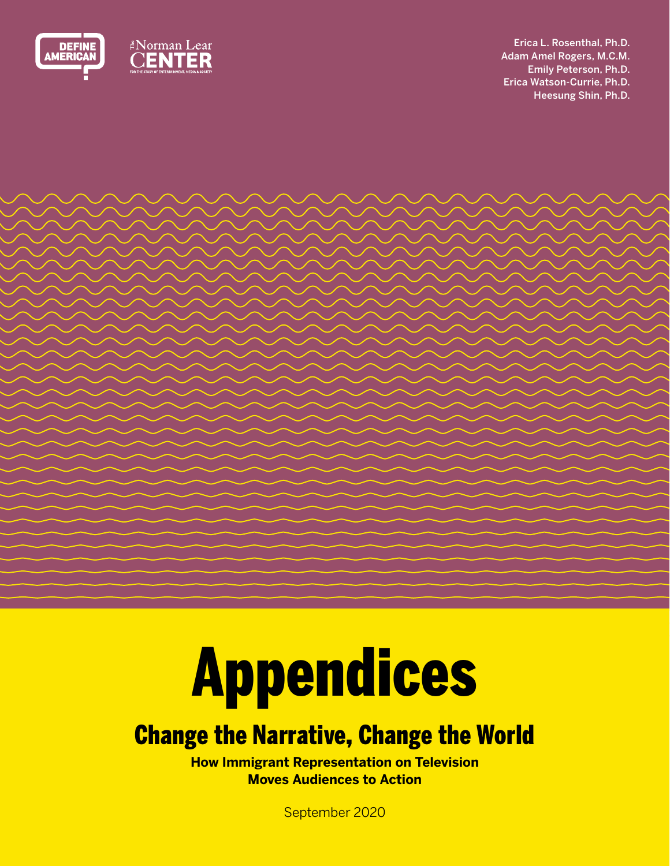

Erica L. Rosenthal, Ph.D. Adam Amel Rogers, M.C.M. Emily Peterson, Ph.D. Erica Watson-Currie, Ph.D. Heesung Shin, Ph.D.

# Appendices

# Change the Narrative, Change the World

**How Immigrant Representation on Television Moves Audiences to Action**

September 2020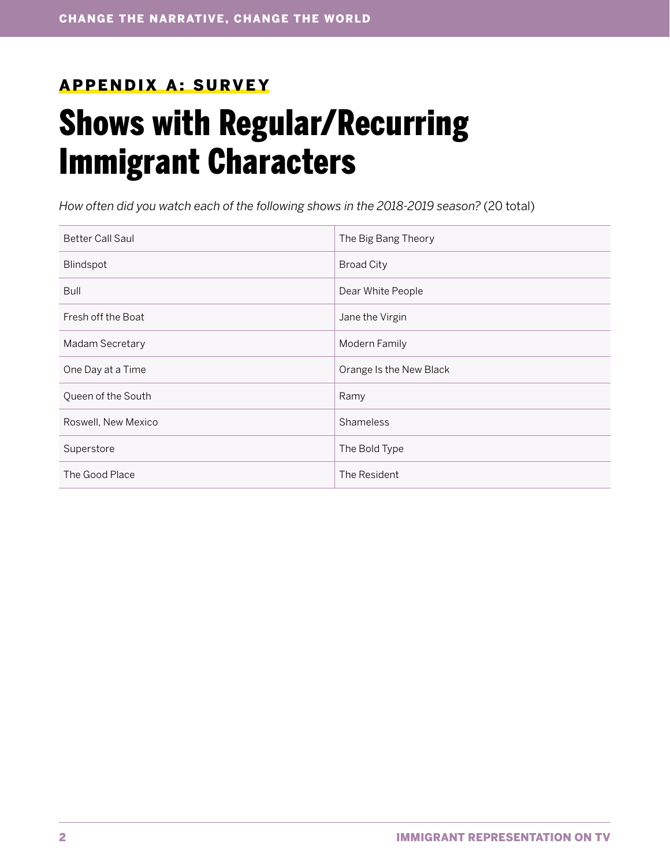### APPENDIX A: SURVEY

# Shows with Regular/Recurring Immigrant Characters

*How often did you watch each of the following shows in the 2018-2019 season?* (20 total)

| <b>Better Call Saul</b> | The Big Bang Theory     |
|-------------------------|-------------------------|
| Blindspot               | <b>Broad City</b>       |
| <b>Bull</b>             | Dear White People       |
| Fresh off the Boat      | Jane the Virgin         |
| Madam Secretary         | Modern Family           |
| One Day at a Time       | Orange Is the New Black |
| Queen of the South      | Ramy                    |
| Roswell, New Mexico     | Shameless               |
| Superstore              | The Bold Type           |
| The Good Place          | The Resident            |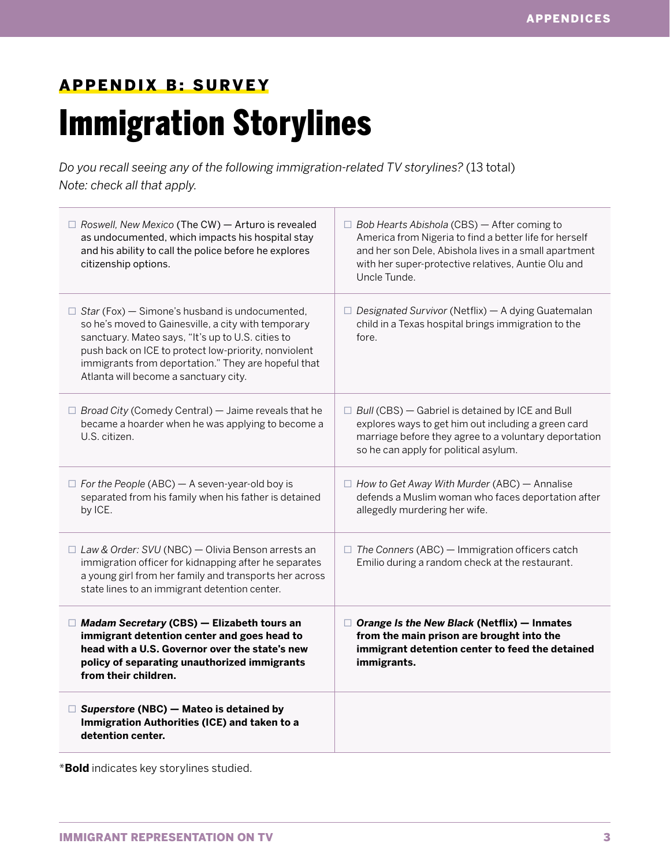# APPENDIX B: SURVEY

# Immigration Storylines

*Do you recall seeing any of the following immigration-related TV storylines?* (13 total) *Note: check all that apply.*

| $\Box$ Roswell, New Mexico (The CW) - Arturo is revealed<br>as undocumented, which impacts his hospital stay<br>and his ability to call the police before he explores<br>citizenship options.                                                                                                                             | $\Box$ Bob Hearts Abishola (CBS) $-$ After coming to<br>America from Nigeria to find a better life for herself<br>and her son Dele, Abishola lives in a small apartment<br>with her super-protective relatives, Auntie Olu and<br>Uncle Tunde. |
|---------------------------------------------------------------------------------------------------------------------------------------------------------------------------------------------------------------------------------------------------------------------------------------------------------------------------|------------------------------------------------------------------------------------------------------------------------------------------------------------------------------------------------------------------------------------------------|
| $\Box$ Star (Fox) – Simone's husband is undocumented,<br>so he's moved to Gainesville, a city with temporary<br>sanctuary. Mateo says, "It's up to U.S. cities to<br>push back on ICE to protect low-priority, nonviolent<br>immigrants from deportation." They are hopeful that<br>Atlanta will become a sanctuary city. | $\Box$ Designated Survivor (Netflix) $-$ A dying Guatemalan<br>child in a Texas hospital brings immigration to the<br>fore.                                                                                                                    |
| $\Box$ Broad City (Comedy Central) $-$ Jaime reveals that he<br>became a hoarder when he was applying to become a<br>U.S. citizen.                                                                                                                                                                                        | $\Box$ Bull (CBS) $-$ Gabriel is detained by ICE and Bull<br>explores ways to get him out including a green card<br>marriage before they agree to a voluntary deportation<br>so he can apply for political asylum.                             |
| $\Box$ For the People (ABC) $-$ A seven-year-old boy is<br>separated from his family when his father is detained<br>by ICE.                                                                                                                                                                                               | $\Box$ How to Get Away With Murder (ABC) — Annalise<br>defends a Muslim woman who faces deportation after<br>allegedly murdering her wife.                                                                                                     |
| $\Box$ Law & Order: SVU (NBC) - Olivia Benson arrests an<br>immigration officer for kidnapping after he separates<br>a young girl from her family and transports her across<br>state lines to an immigrant detention center.                                                                                              | $\Box$ The Conners (ABC) – Immigration officers catch<br>Emilio during a random check at the restaurant.                                                                                                                                       |
| $\Box$ Madam Secretary (CBS) $-$ Elizabeth tours an<br>immigrant detention center and goes head to<br>head with a U.S. Governor over the state's new<br>policy of separating unauthorized immigrants<br>from their children.                                                                                              | $\Box$ Orange Is the New Black (Netflix) – Inmates<br>from the main prison are brought into the<br>immigrant detention center to feed the detained<br>immigrants.                                                                              |
| $\Box$ Superstore (NBC) – Mateo is detained by<br>Immigration Authorities (ICE) and taken to a<br>detention center.                                                                                                                                                                                                       |                                                                                                                                                                                                                                                |

\***Bold** indicates key storylines studied.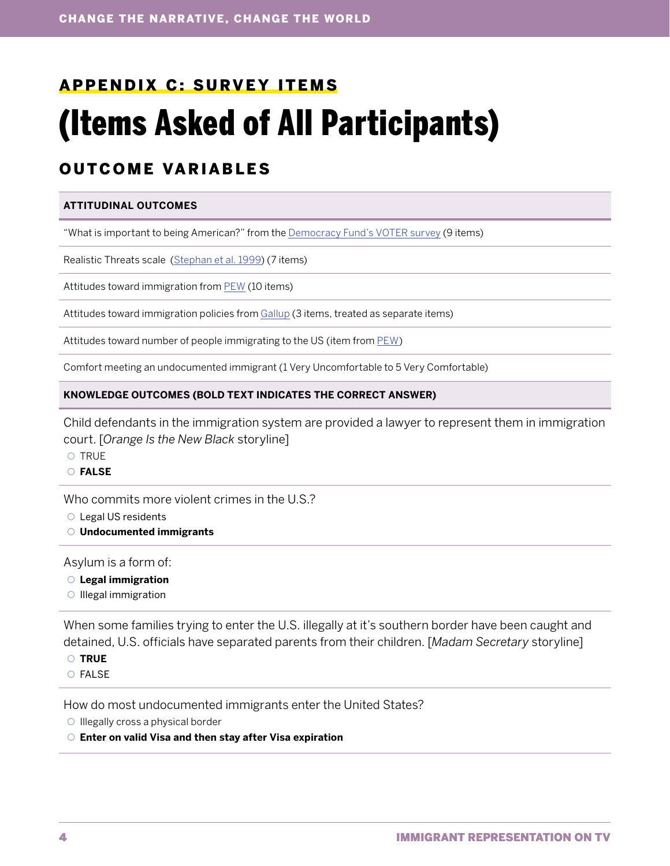# APPENDIX C: SURVEY ITEMS

# (Items Asked of All Participants)

# OUTCOME VARIABLES

#### **ATTITUDINAL OUTCOMES**

"What is important to being American?" from the [Democracy Fund's VOTER survey](https://www.voterstudygroup.org/) (9 items)

Realistic Threats scale [\(Stephan et al. 1999](https://onlinelibrary.wiley.com/doi/abs/10.1111/j.1559-1816.1999.tb00107.x?casa_token=91stRrDG_a0AAAAA%3Arvsnglf-Kxi11iyeB_-pjo_p6egpjYDRiGriK_aS8DDHioSidspKpdTXs81tXDHLIKMct4AYjmhLsVh5)) (7 items)

Attitudes toward immigration from [PEW](https://www.pewresearch.org/hispanic/2006/05/17/the-state-of-american-public-opinion-on-immigration-in-spring-2006-a-review-of-major-surveys/) (10 items)

Attitudes toward immigration policies from [Gallup](https://news.gallup.com/poll/246464/americans-views-immigration-issues-trends.aspx) (3 items, treated as separate items)

Attitudes toward number of people immigrating to the US (item from [PEW\)](https://www.pewresearch.org/fact-tank/2019/06/17/key-findings-about-u-s-immigrants/)

Comfort meeting an undocumented immigrant (1 Very Uncomfortable to 5 Very Comfortable)

#### **KNOWLEDGE OUTCOMES (BOLD TEXT INDICATES THE CORRECT ANSWER)**

Child defendants in the immigration system are provided a lawyer to represent them in immigration court. [*Orange Is the New Black* storyline]

 ${\circ}$  TRUE

#### { **FALSE**

Who commits more violent crimes in the U.S.?

- $\circ$  Legal US residents
- { **Undocumented immigrants**

#### Asylum is a form of:

- { **Legal immigration**
- ${\circ}$  Illegal immigration

When some families trying to enter the U.S. illegally at it's southern border have been caught and detained, U.S. officials have separated parents from their children. [*Madam Secretary* storyline]

- { **TRUE**
- ${\small \odot}$  FALSE

How do most undocumented immigrants enter the United States?

 $\circ$  Illegally cross a physical border

#### { **Enter on valid Visa and then stay after Visa expiration**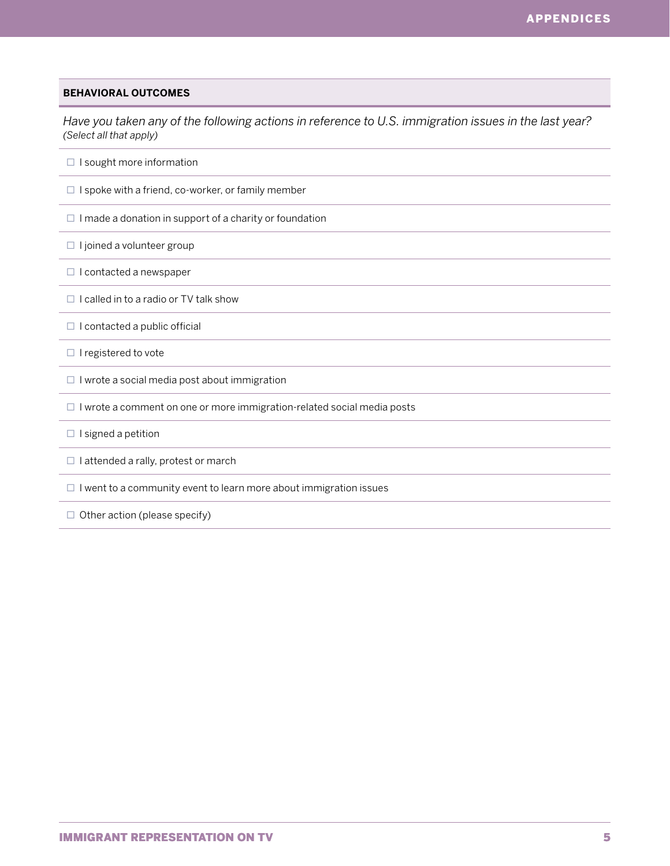# *Have you taken any of the following actions in reference to U.S. immigration issues in the last year? (Select all that apply)*   $\Box$  I sought more information  $\Box$  I spoke with a friend, co-worker, or family member  $\Box$  I made a donation in support of a charity or foundation  $\Box$  I joined a volunteer group  $\Box$  I contacted a newspaper  $\Box$  I called in to a radio or TV talk show  $\Box$  I contacted a public official  $\Box$  I registered to vote  $\Box$  I wrote a social media post about immigration  $\Box$  I wrote a comment on one or more immigration-related social media posts  $\Box$  I signed a petition  $\Box$  I attended a rally, protest or march  $\Box$  I went to a community event to learn more about immigration issues  $\Box$  Other action (please specify)

**BEHAVIORAL OUTCOMES**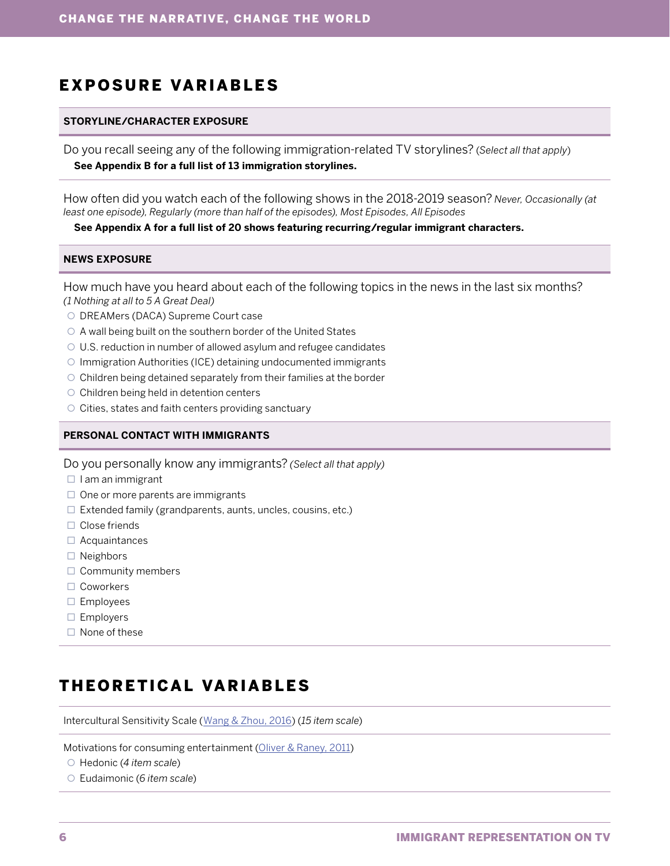### EXPOSURE VARIABLES

#### **STORYLINE/CHARACTER EXPOSURE**

Do you recall seeing any of the following immigration-related TV storylines? (*Select all that apply*)  **See Appendix B for a full list of 13 immigration storylines.**

How often did you watch each of the following shows in the 2018-2019 season? *Never, Occasionally (at least one episode), Regularly (more than half of the episodes), Most Episodes, All Episodes*

 **See Appendix A for a full list of 20 shows featuring recurring/regular immigrant characters.** 

#### **NEWS EXPOSURE**

How much have you heard about each of the following topics in the news in the last six months? *(1 Nothing at all to 5 A Great Deal)*

- O DREAMers (DACA) Supreme Court case
- $\circ$  A wall being built on the southern border of the United States
- { U.S. reduction in number of allowed asylum and refugee candidates
- $\circ$  Immigration Authorities (ICE) detaining undocumented immigrants
- $\circ$  Children being detained separately from their families at the border
- ${\circ}$  Children being held in detention centers
- O Cities, states and faith centers providing sanctuary

#### **PERSONAL CONTACT WITH IMMIGRANTS**

Do you personally know any immigrants? *(Select all that apply)*

- $\Box$  I am an immigrant
- $\Box$  One or more parents are immigrants
- $\Box$  Extended family (grandparents, aunts, uncles, cousins, etc.)
- □ Close friends
- $\Box$  Acquaintances
- □ Neighbors
- $\Box$  Community members
- □ Coworkers
- $\square$  Employees
- $\Box$  Employers
- $\Box$  None of these

### THEORETICAL VARIABLES

Intercultural Sensitivity Scale ([Wang & Zhou, 2016\)](https://www.sciencedirect.com/science/article/abs/pii/S0147176716301201) (*15 item scale*)

Motivations for consuming entertainment [\(Oliver & Raney, 2011\)](https://academic.oup.com/joc/article-abstract/61/5/984/4098495)

- { Hedonic (*4 item scale*)
- { Eudaimonic (*6 item scale*)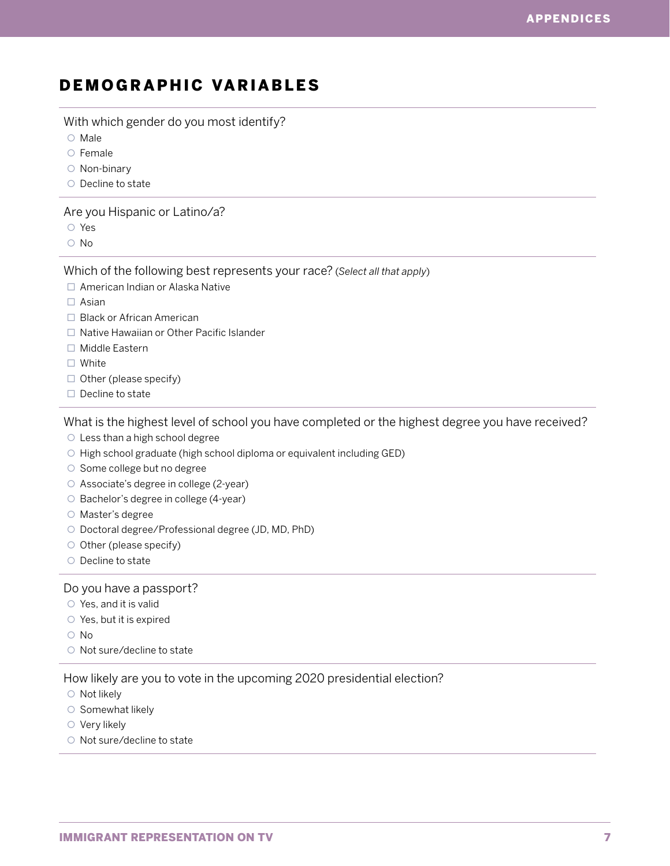### DEMOGRAPHIC VARIABLES

With which gender do you most identify?

- { Male
- ${\circ}$  Female
- ${\circ}$  Non-binary
- $\circ$  Decline to state

Are you Hispanic or Latino/a?

- { Yes
- $\circ$  No

Which of the following best represents your race? (*Select all that apply*)

- □ American Indian or Alaska Native
- $\Box$  Asian
- □ Black or African American
- □ Native Hawaiian or Other Pacific Islander
- □ Middle Eastern
- □ White
- $\Box$  Other (please specify)
- $\Box$  Decline to state

What is the highest level of school you have completed or the highest degree you have received?

- $\circ$  Less than a high school degree
- High school graduate (high school diploma or equivalent including GED)
- ${\circ}$  Some college but no degree
- Associate's degree in college (2-year)
- { Bachelor's degree in college (4-year)
- ${\circ}$  Master's degree
- Doctoral degree/Professional degree (JD, MD, PhD)
- $\circ$  Other (please specify)
- Decline to state

#### Do you have a passport?

- $\circ$  Yes, and it is valid
- $\circ$  Yes, but it is expired
- $\circ$  No
- $\circ$  Not sure/decline to state

#### How likely are you to vote in the upcoming 2020 presidential election?

- ${\circ}$  Not likely
- $\circ$  Somewhat likely
- $\circ$  Very likely
- Not sure/decline to state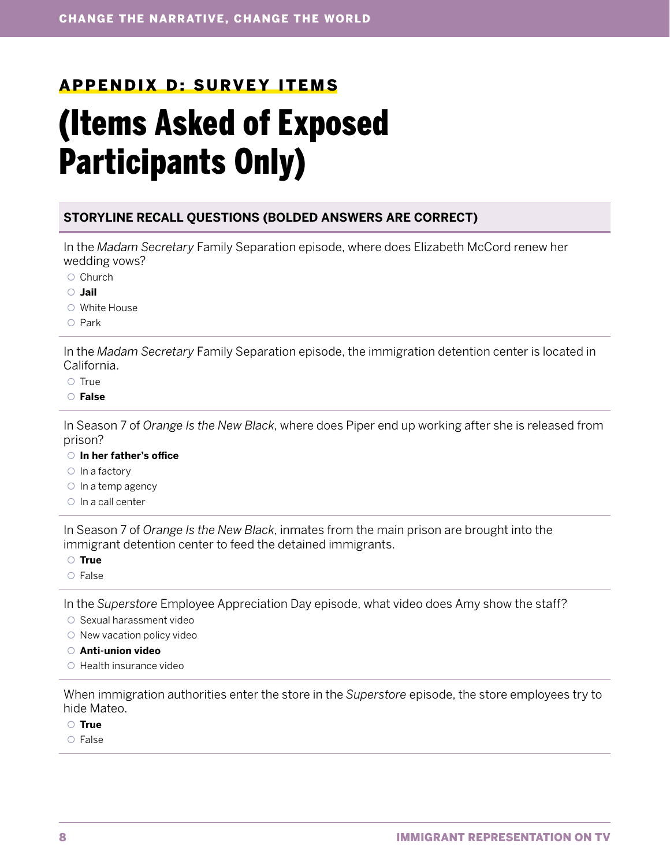### APPENDIX D: SURVEY ITEMS

# (Items Asked of Exposed Participants Only)

#### **STORYLINE RECALL QUESTIONS (BOLDED ANSWERS ARE CORRECT)**

In the *Madam Secretary* Family Separation episode, where does Elizabeth McCord renew her wedding vows?

- ${\circ}$  Church
- { **Jail**
- { White House
- { Park

In the *Madam Secretary* Family Separation episode, the immigration detention center is located in California.

- ${\circ}$  True
- { **False**

In Season 7 of *Orange Is the New Black*, where does Piper end up working after she is released from prison?

- { **In her father's office**
- $\circ$  In a factory
- $\circ$  In a temp agency
- $\circ$  In a call center

In Season 7 of *Orange Is the New Black*, inmates from the main prison are brought into the immigrant detention center to feed the detained immigrants.

- { **True**
- ${ }^\circ$  False

In the *Superstore* Employee Appreciation Day episode, what video does Amy show the staff?

- O Sexual harassment video
- $\circ$  New vacation policy video
- { **Anti-union video**
- ${\circ}$  Health insurance video

When immigration authorities enter the store in the *Superstore* episode, the store employees try to hide Mateo.

- { **True**
- { False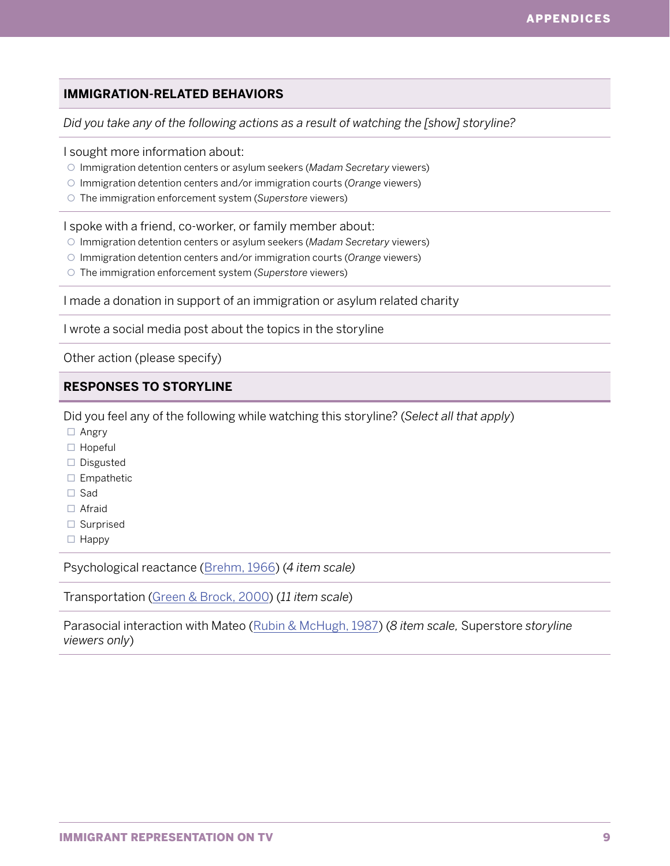#### **IMMIGRATION-RELATED BEHAVIORS**

*Did you take any of the following actions as a result of watching the [show] storyline?*

I sought more information about:

- { Immigration detention centers or asylum seekers (*Madam Secretary* viewers)
- { Immigration detention centers and/or immigration courts (*Orange* viewers)
- { The immigration enforcement system (*Superstore* viewers)

I spoke with a friend, co-worker, or family member about:

- { Immigration detention centers or asylum seekers (*Madam Secretary* viewers)
- { Immigration detention centers and/or immigration courts (*Orange* viewers)
- { The immigration enforcement system (*Superstore* viewers)

I made a donation in support of an immigration or asylum related charity

I wrote a social media post about the topics in the storyline

Other action (please specify)

#### **RESPONSES TO STORYLINE**

Did you feel any of the following while watching this storyline? (*Select all that apply*)

- $\Box$  Angry
- $\Box$  Hopeful
- $\square$  Disgusted
- $\Box$  Empathetic
- $\square$  Sad
- Afraid
- $\square$  Surprised
- $\Box$  Happy

Psychological reactance ([Brehm, 1966\)](https://psycnet.apa.org/record/1967-08061-000) (*4 item scale)*

Transportation [\(Green & Brock, 2000\)](https://psycnet.apa.org/buy/2000-00920-003) (*11 item scale*)

Parasocial interaction with Mateo ([Rubin & McHugh, 1987\)](https://www.tandfonline.com/doi/abs/10.1080/08838158709386664) (*8 item scale,* Superstore *storyline viewers only*)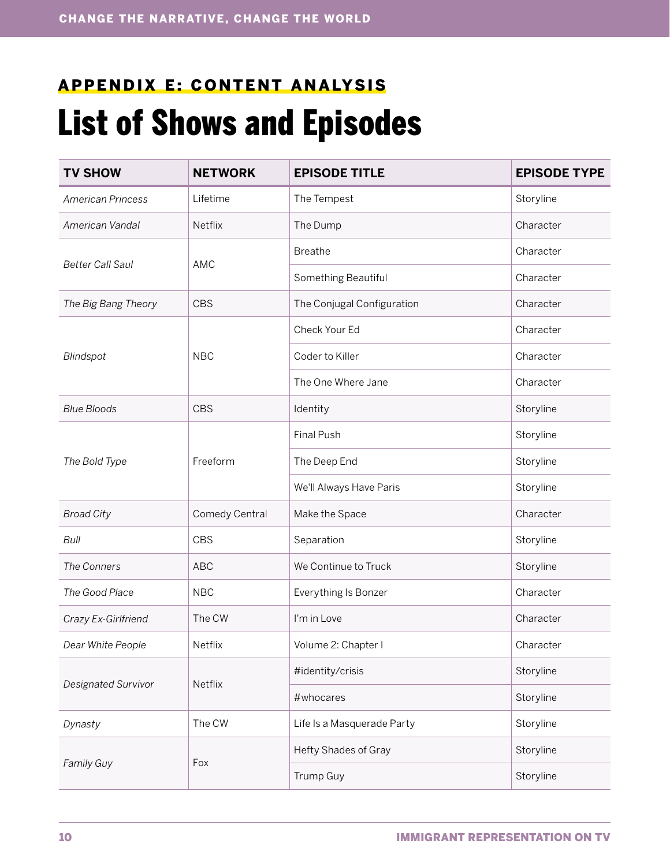# APPENDIX E: CONTENT ANALYSIS List of Shows and Episodes

| <b>TV SHOW</b>           | <b>NETWORK</b> | <b>EPISODE TITLE</b>       | <b>EPISODE TYPE</b> |
|--------------------------|----------------|----------------------------|---------------------|
| <b>American Princess</b> | Lifetime       | The Tempest                | Storyline           |
| American Vandal          | Netflix        | The Dump                   | Character           |
|                          |                | <b>Breathe</b>             | Character           |
| <b>Better Call Saul</b>  | AMC            | Something Beautiful        | Character           |
| The Big Bang Theory      | <b>CBS</b>     | The Conjugal Configuration | Character           |
|                          |                | Check Your Ed              | Character           |
| Blindspot                | <b>NBC</b>     | Coder to Killer            | Character           |
|                          |                | The One Where Jane         | Character           |
| <b>Blue Bloods</b>       | CBS            | Identity                   | Storyline           |
|                          |                | Final Push                 | Storyline           |
| The Bold Type            | Freeform       | The Deep End               | Storyline           |
|                          |                | We'll Always Have Paris    | Storyline           |
| <b>Broad City</b>        | Comedy Central | Make the Space             | Character           |
| <b>Bull</b>              | CBS            | Separation                 | Storyline           |
| The Conners              | <b>ABC</b>     | We Continue to Truck       | Storyline           |
| The Good Place           | <b>NBC</b>     | Everything Is Bonzer       | Character           |
| Crazy Ex-Girlfriend      | The CW         | I'm in Love                | Character           |
| Dear White People        | Netflix        | Volume 2: Chapter I        | Character           |
| Designated Survivor      | Netflix        | #identity/crisis           | Storyline           |
|                          |                | #whocares                  | Storyline           |
| Dynasty                  | The CW         | Life Is a Masquerade Party | Storyline           |
|                          | Fox            | Hefty Shades of Gray       | Storyline           |
| Family Guy               |                | Trump Guy                  | Storyline           |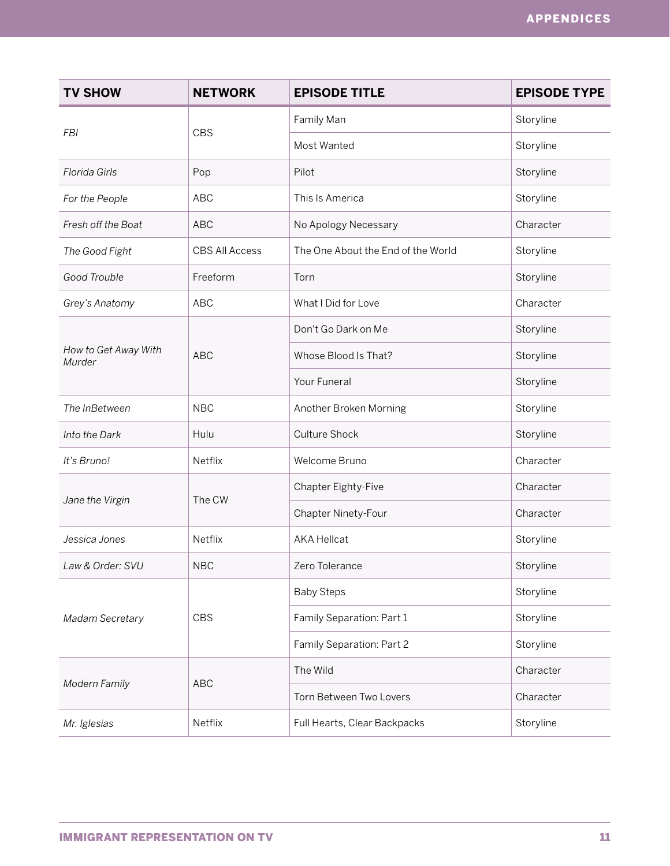| <b>TV SHOW</b>                 | <b>NETWORK</b>        | <b>EPISODE TITLE</b>               | <b>EPISODE TYPE</b> |
|--------------------------------|-----------------------|------------------------------------|---------------------|
|                                | <b>CBS</b>            | Family Man                         | Storyline           |
| <b>FBI</b>                     |                       | Most Wanted                        | Storyline           |
| Florida Girls                  | Pop                   | Pilot                              | Storyline           |
| For the People                 | <b>ABC</b>            | This Is America                    | Storyline           |
| Fresh off the Boat             | <b>ABC</b>            | No Apology Necessary               | Character           |
| The Good Fight                 | <b>CBS All Access</b> | The One About the End of the World | Storyline           |
| Good Trouble                   | Freeform              | Torn                               | Storyline           |
| Grey's Anatomy                 | <b>ABC</b>            | What I Did for Love                | Character           |
|                                |                       | Don't Go Dark on Me                | Storyline           |
| How to Get Away With<br>Murder | <b>ABC</b>            | Whose Blood Is That?               | Storyline           |
|                                |                       | Your Funeral                       | Storyline           |
| The InBetween                  | <b>NBC</b>            | Another Broken Morning             | Storyline           |
| Into the Dark                  | Hulu                  | <b>Culture Shock</b>               | Storyline           |
| It's Bruno!                    | Netflix               | Welcome Bruno                      | Character           |
| Jane the Virgin                | The CW                | Chapter Eighty-Five                | Character           |
|                                |                       | Chapter Ninety-Four                | Character           |
| Jessica Jones                  | Netflix               | <b>AKA Hellcat</b>                 | Storyline           |
| Law & Order: SVU               | <b>NBC</b>            | Zero Tolerance                     | Storyline           |
|                                | <b>CBS</b>            | <b>Baby Steps</b>                  | Storyline           |
| Madam Secretary                |                       | Family Separation: Part 1          | Storyline           |
|                                |                       | Family Separation: Part 2          | Storyline           |
|                                | ABC                   | The Wild                           | Character           |
| Modern Family                  |                       | Torn Between Two Lovers            | Character           |
| Mr. Iglesias                   | Netflix               | Full Hearts, Clear Backpacks       | Storyline           |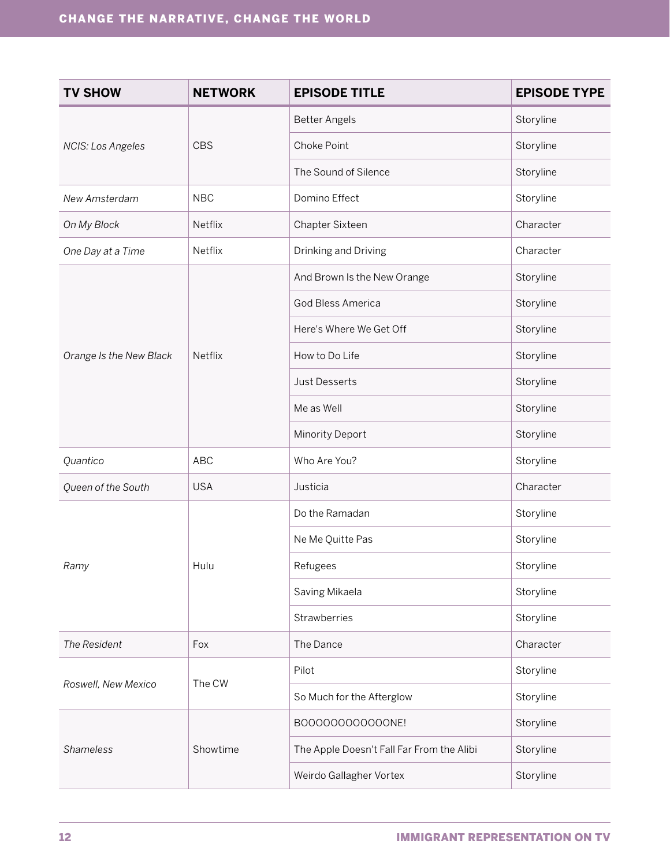| <b>TV SHOW</b>          | <b>NETWORK</b> | <b>EPISODE TITLE</b>                      | <b>EPISODE TYPE</b> |
|-------------------------|----------------|-------------------------------------------|---------------------|
|                         | <b>CBS</b>     | <b>Better Angels</b>                      | Storyline           |
| NCIS: Los Angeles       |                | Choke Point                               | Storyline           |
|                         |                | The Sound of Silence                      | Storyline           |
| New Amsterdam           | <b>NBC</b>     | Domino Effect                             | Storyline           |
| On My Block             | Netflix        | Chapter Sixteen                           | Character           |
| One Day at a Time       | Netflix        | Drinking and Driving                      | Character           |
|                         |                | And Brown Is the New Orange               | Storyline           |
|                         |                | <b>God Bless America</b>                  | Storyline           |
|                         |                | Here's Where We Get Off                   | Storyline           |
| Orange Is the New Black | Netflix        | How to Do Life                            | Storyline           |
|                         |                | Just Desserts                             | Storyline           |
|                         |                | Me as Well                                | Storyline           |
|                         |                | Minority Deport                           | Storyline           |
| Quantico                | ABC            | Who Are You?                              | Storyline           |
| Queen of the South      | <b>USA</b>     | Justicia                                  | Character           |
|                         |                | Do the Ramadan                            | Storyline           |
| Ramy                    | Hulu           | Ne Me Quitte Pas                          | Storyline           |
|                         |                | Refugees                                  | Storyline           |
|                         |                | Saving Mikaela                            | Storyline           |
|                         |                | Strawberries                              | Storyline           |
| The Resident            | Fox            | The Dance                                 | Character           |
|                         |                | Pilot                                     | Storyline           |
| Roswell, New Mexico     | The CW         | So Much for the Afterglow                 | Storyline           |
|                         | Showtime       | B00000000000NE!                           | Storyline           |
| Shameless               |                | The Apple Doesn't Fall Far From the Alibi | Storyline           |
|                         |                | Weirdo Gallagher Vortex                   | Storyline           |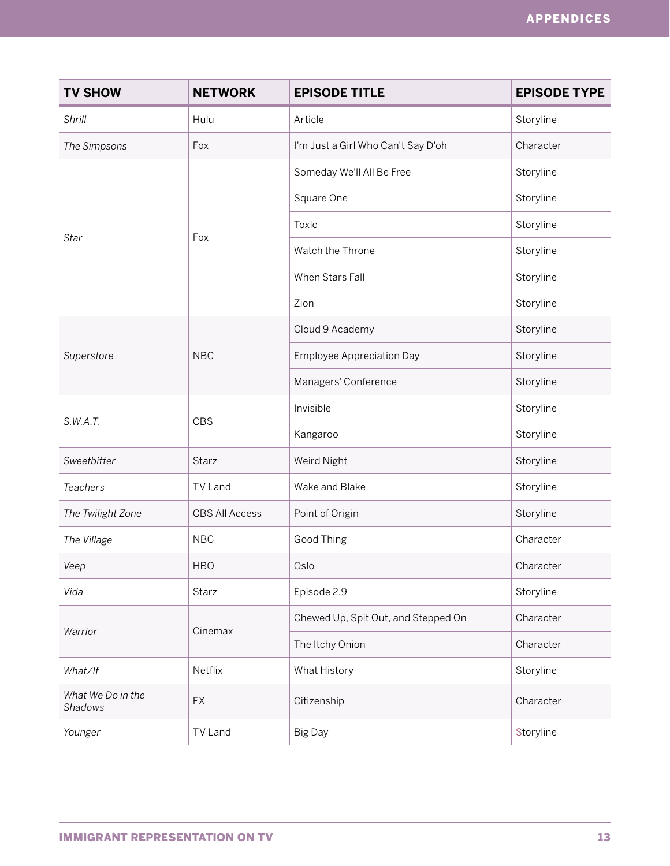| <b>TV SHOW</b>               | <b>NETWORK</b>        | <b>EPISODE TITLE</b>                | <b>EPISODE TYPE</b> |
|------------------------------|-----------------------|-------------------------------------|---------------------|
| Shrill                       | Hulu                  | Article                             | Storyline           |
| The Simpsons                 | Fox                   | I'm Just a Girl Who Can't Say D'oh  | Character           |
|                              |                       | Someday We'll All Be Free           | Storyline           |
|                              |                       | Square One                          | Storyline           |
| Star                         | Fox                   | Toxic                               | Storyline           |
|                              |                       | Watch the Throne                    | Storyline           |
|                              |                       | When Stars Fall                     | Storyline           |
|                              |                       | Zion                                | Storyline           |
|                              |                       | Cloud 9 Academy                     | Storyline           |
| Superstore                   | <b>NBC</b>            | <b>Employee Appreciation Day</b>    | Storyline           |
|                              |                       | Managers' Conference                | Storyline           |
| S.W.A.T.                     | <b>CBS</b>            | Invisible                           | Storyline           |
|                              |                       | Kangaroo                            | Storyline           |
| Sweetbitter                  | Starz                 | Weird Night                         | Storyline           |
| <b>Teachers</b>              | TV Land               | Wake and Blake                      | Storyline           |
| The Twilight Zone            | <b>CBS All Access</b> | Point of Origin                     | Storyline           |
| The Village                  | <b>NBC</b>            | <b>Good Thing</b>                   | Character           |
| Veep                         | <b>HBO</b>            | Oslo                                | Character           |
| Vida                         | Starz                 | Episode 2.9                         | Storyline           |
| Warrior                      | Cinemax               | Chewed Up, Spit Out, and Stepped On | Character           |
|                              |                       | The Itchy Onion                     | Character           |
| What/If                      | Netflix               | What History                        | Storyline           |
| What We Do in the<br>Shadows | <b>FX</b>             | Citizenship                         | Character           |
| Younger                      | TV Land               | <b>Big Day</b>                      | Storyline           |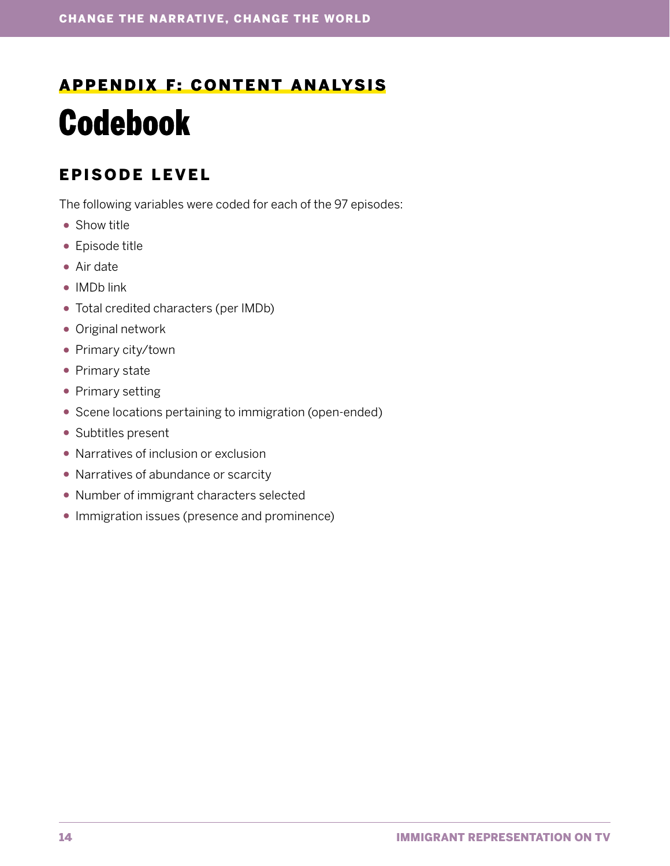### APPENDIX F: CONTENT ANALYSIS

# Codebook

# EPISODE LEVEL

The following variables were coded for each of the 97 episodes:

- Show title
- Episode title
- Air date
- IMDb link
- Total credited characters (per IMDb)
- Original network
- Primary city/town
- Primary state
- Primary setting
- Scene locations pertaining to immigration (open-ended)
- Subtitles present
- Narratives of inclusion or exclusion
- Narratives of abundance or scarcity
- Number of immigrant characters selected
- Immigration issues (presence and prominence)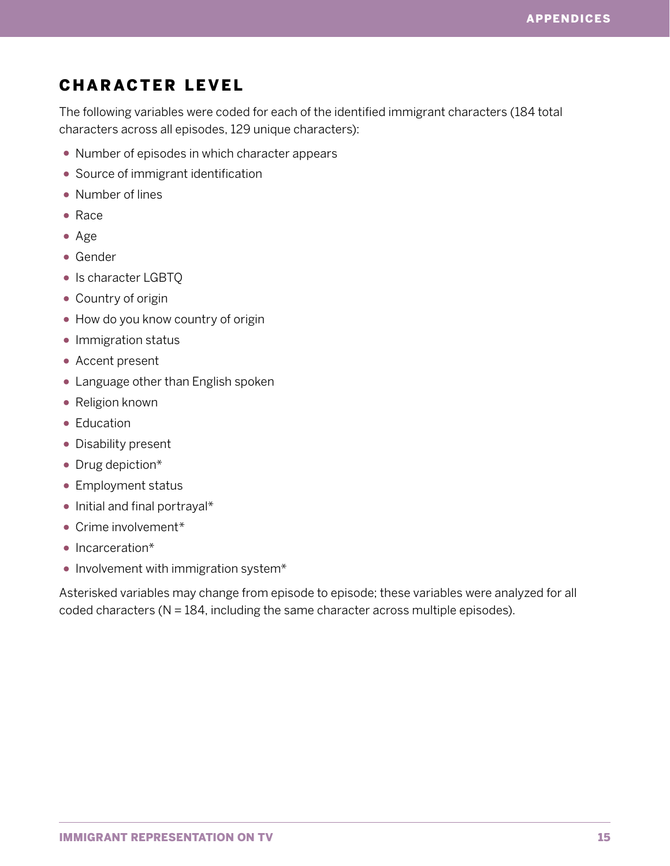## CHARACTER LEVEL

The following variables were coded for each of the identified immigrant characters (184 total characters across all episodes, 129 unique characters):

- Number of episodes in which character appears
- Source of immigrant identification
- Number of lines
- Race
- Age
- Gender
- Is character LGBTQ
- Country of origin
- How do you know country of origin
- Immigration status
- Accent present
- Language other than English spoken
- Religion known
- Education
- Disability present
- Drug depiction\*
- Employment status
- Initial and final portrayal\*
- Crime involvement\*
- Incarceration\*
- Involvement with immigration system\*

Asterisked variables may change from episode to episode; these variables were analyzed for all coded characters ( $N = 184$ , including the same character across multiple episodes).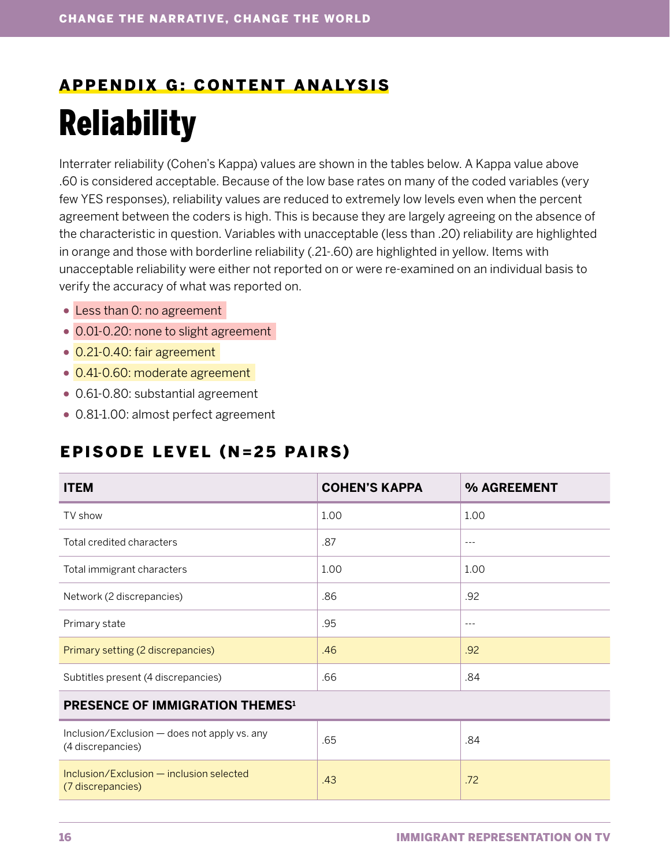# APPENDIX G: CONTENT ANALYSIS **Reliability**

Interrater reliability (Cohen's Kappa) values are shown in the tables below. A Kappa value above .60 is considered acceptable. Because of the low base rates on many of the coded variables (very few YES responses), reliability values are reduced to extremely low levels even when the percent agreement between the coders is high. This is because they are largely agreeing on the absence of the characteristic in question. Variables with unacceptable (less than .20) reliability are highlighted in orange and those with borderline reliability (.21-.60) are highlighted in yellow. Items with unacceptable reliability were either not reported on or were re-examined on an individual basis to verify the accuracy of what was reported on.

- Less than 0: no agreement
- 0.01-0.20: none to slight agreement
- 0.21-0.40: fair agreement
- 0.41-0.60: moderate agreement
- 0.61-0.80: substantial agreement
- 0.81-1.00: almost perfect agreement

### EPISODE LEVEL (N=25 PAIRS)

| <b>ITEM</b>                                                       | <b>COHEN'S KAPPA</b> | % AGREEMENT |  |
|-------------------------------------------------------------------|----------------------|-------------|--|
| TV show                                                           | 1.00                 | 1.00        |  |
| Total credited characters                                         | .87                  | $---$       |  |
| Total immigrant characters                                        | 1.00                 | 1.00        |  |
| Network (2 discrepancies)                                         | .86                  | .92         |  |
| Primary state                                                     | .95                  | $---$       |  |
| Primary setting (2 discrepancies)                                 | .46                  | .92         |  |
| Subtitles present (4 discrepancies)                               | .66                  | .84         |  |
| <b>PRESENCE OF IMMIGRATION THEMES1</b>                            |                      |             |  |
| Inclusion/Exclusion - does not apply vs. any<br>(4 discrepancies) | .65                  | .84         |  |
| Inclusion/Exclusion - inclusion selected<br>(7 discrepancies)     | .43                  | .72         |  |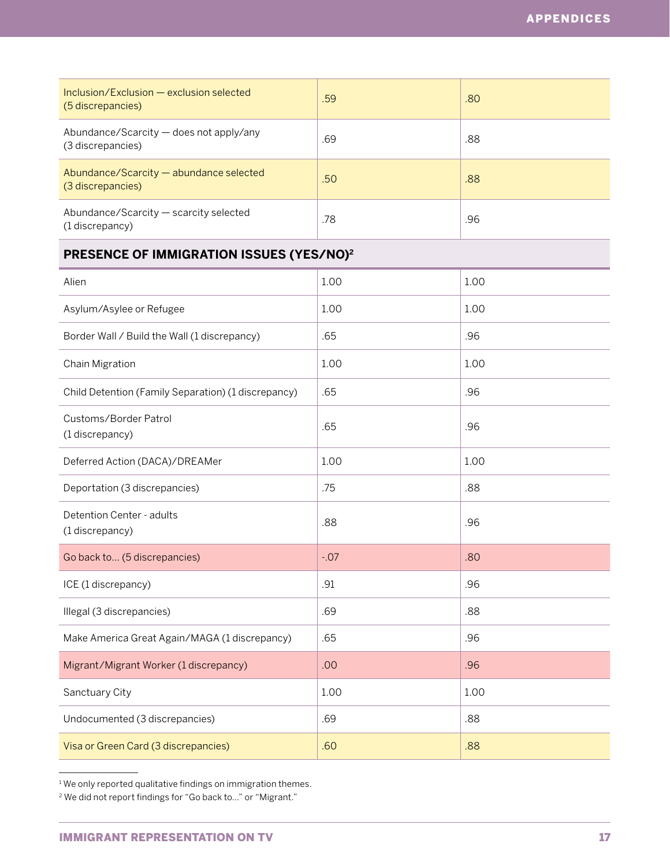| Inclusion/Exclusion – exclusion selected<br>(5 discrepancies) | .59 | .80 |
|---------------------------------------------------------------|-----|-----|
| Abundance/Scarcity — does not apply/any<br>(3 discrepancies)  | .69 | .88 |
| Abundance/Scarcity - abundance selected<br>(3 discrepancies)  | .50 | .88 |
| Abundance/Scarcity – scarcity selected<br>(1 discrepancy)     | .78 | .96 |

### **PRESENCE OF IMMIGRATION ISSUES (YES/NO)2**

| Alien                                               | 1.00   | 1.00 |
|-----------------------------------------------------|--------|------|
| Asylum/Asylee or Refugee                            | 1.00   | 1.00 |
| Border Wall / Build the Wall (1 discrepancy)        | .65    | .96  |
| Chain Migration                                     | 1.00   | 1.00 |
| Child Detention (Family Separation) (1 discrepancy) | .65    | .96  |
| Customs/Border Patrol<br>(1 discrepancy)            | .65    | .96  |
| Deferred Action (DACA)/DREAMer                      | 1.00   | 1.00 |
| Deportation (3 discrepancies)                       | .75    | .88  |
| Detention Center - adults<br>(1 discrepancy)        | .88    | .96  |
| Go back to (5 discrepancies)                        | $-.07$ | .80  |
| ICE (1 discrepancy)                                 | .91    | .96  |
| Illegal (3 discrepancies)                           | .69    | .88  |
| Make America Great Again/MAGA (1 discrepancy)       | .65    | .96  |
| Migrant/Migrant Worker (1 discrepancy)              | .00    | .96  |
| Sanctuary City                                      | 1.00   | 1.00 |
| Undocumented (3 discrepancies)                      | .69    | .88  |
| Visa or Green Card (3 discrepancies)                | .60    | .88  |

<sup>1</sup> We only reported qualitative findings on immigration themes.

2 We did not report findings for "Go back to…" or "Migrant."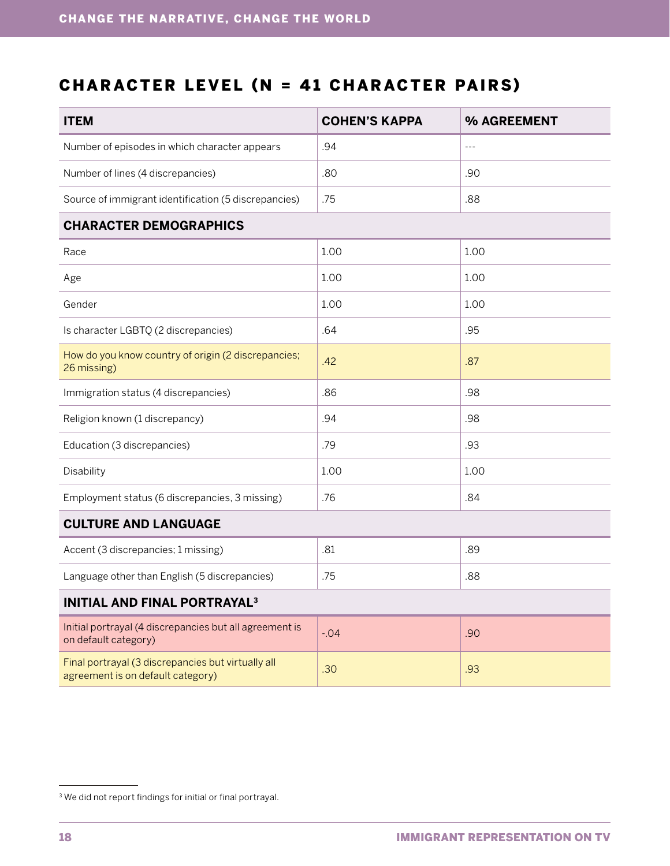# CHARACTER LEVEL (N = 41 CHARACTER PAIRS)

| <b>ITEM</b>                                                                             | <b>COHEN'S KAPPA</b> | % AGREEMENT |  |
|-----------------------------------------------------------------------------------------|----------------------|-------------|--|
| Number of episodes in which character appears                                           | .94                  | $---$       |  |
| Number of lines (4 discrepancies)                                                       | .80                  | .90         |  |
| Source of immigrant identification (5 discrepancies)                                    | .75                  | .88         |  |
| <b>CHARACTER DEMOGRAPHICS</b>                                                           |                      |             |  |
| Race                                                                                    | 1.00                 | 1.00        |  |
| Age                                                                                     | 1.00                 | 1.00        |  |
| Gender                                                                                  | 1.00                 | 1.00        |  |
| Is character LGBTQ (2 discrepancies)                                                    | .64                  | .95         |  |
| How do you know country of origin (2 discrepancies;<br>26 missing)                      | .42                  | .87         |  |
| Immigration status (4 discrepancies)                                                    | .86                  | .98         |  |
| Religion known (1 discrepancy)                                                          | .94                  | .98         |  |
| Education (3 discrepancies)                                                             | .79                  | .93         |  |
| Disability                                                                              | 1.00                 | 1.00        |  |
| Employment status (6 discrepancies, 3 missing)                                          | .76                  | .84         |  |
| <b>CULTURE AND LANGUAGE</b>                                                             |                      |             |  |
| Accent (3 discrepancies; 1 missing)                                                     | .81                  | .89         |  |
| Language other than English (5 discrepancies)                                           | .75                  | .88         |  |
| <b>INITIAL AND FINAL PORTRAYAL<sup>3</sup></b>                                          |                      |             |  |
| Initial portrayal (4 discrepancies but all agreement is<br>on default category)         | $-.04$               | .90         |  |
| Final portrayal (3 discrepancies but virtually all<br>agreement is on default category) | .30                  | .93         |  |

<sup>3</sup> We did not report findings for initial or final portrayal.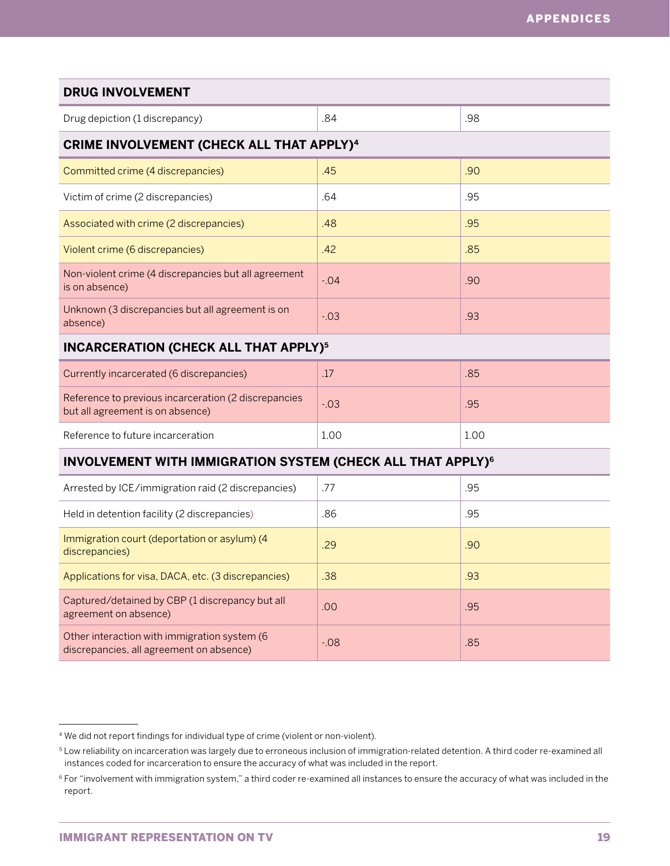| <b>DRUG INVOLVEMENT</b>                                                                  |         |      |  |
|------------------------------------------------------------------------------------------|---------|------|--|
| Drug depiction (1 discrepancy)                                                           | .84     | .98  |  |
| <b>CRIME INVOLVEMENT (CHECK ALL THAT APPLY)4</b>                                         |         |      |  |
| Committed crime (4 discrepancies)                                                        | .45     | .90  |  |
| Victim of crime (2 discrepancies)                                                        | .64     | .95  |  |
| Associated with crime (2 discrepancies)                                                  | .48     | .95  |  |
| Violent crime (6 discrepancies)                                                          | .42     | .85  |  |
| Non-violent crime (4 discrepancies but all agreement<br>is on absence)                   | $-.04$  | .90  |  |
| Unknown (3 discrepancies but all agreement is on<br>absence)                             | $-.03$  | .93  |  |
| <b>INCARCERATION (CHECK ALL THAT APPLY)5</b>                                             |         |      |  |
| Currently incarcerated (6 discrepancies)                                                 | .17     | .85  |  |
| Reference to previous incarceration (2 discrepancies<br>but all agreement is on absence) | $-0.03$ | .95  |  |
| Reference to future incarceration                                                        | 1.00    | 1.00 |  |
| INVOLVEMENT WITH IMMIGRATION SYSTEM (CHECK ALL THAT APPLY) <sup>6</sup>                  |         |      |  |
| Arrested by ICE/immigration raid (2 discrepancies)                                       | .77     | .95  |  |
| Held in detention facility (2 discrepancies)                                             | .86     | .95  |  |
| Immigration court (deportation or asylum) (4<br>discrepancies)                           | .29     | .90  |  |
| Applications for visa, DACA, etc. (3 discrepancies)                                      | .38     | .93  |  |
| Captured/detained by CBP (1 discrepancy but all<br>agreement on absence)                 | .00     | .95  |  |
| Other interaction with immigration system (6<br>discrepancies, all agreement on absence) | $-0.08$ | .85  |  |

<sup>4</sup> We did not report findings for individual type of crime (violent or non-violent).

<sup>5</sup> Low reliability on incarceration was largely due to erroneous inclusion of immigration-related detention. A third coder re-examined all instances coded for incarceration to ensure the accuracy of what was included in the report.

<sup>6</sup> For "involvement with immigration system," a third coder re-examined all instances to ensure the accuracy of what was included in the report.